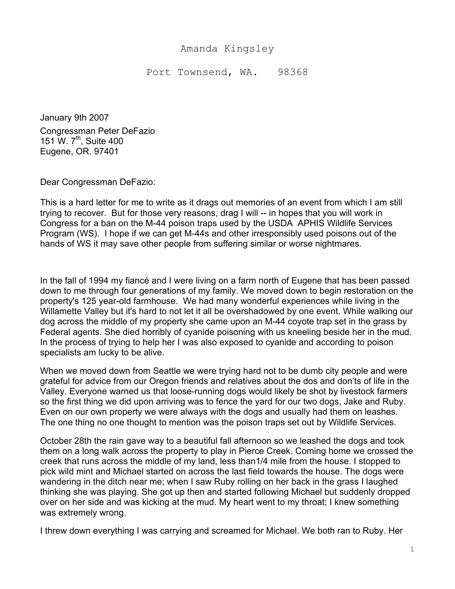## Amanda Kingsley

Port Townsend, WA. 98368

January 9th 2007 Congressman Peter DeFazio 151 W. 7<sup>th</sup>, Suite 400 Eugene, OR. 97401

Dear Congressman DeFazio:

This is a hard letter for me to write as it drags out memories of an event from which I am still trying to recover. But for those very reasons, drag I will -- in hopes that you will work in Congress for a ban on the M-44 poison traps used by the USDA APHIS Wildlife Services Program (WS). I hope if we can get M-44s and other irresponsibly used poisons out of the hands of WS it may save other people from suffering similar or worse nightmares.

In the fall of 1994 my fiancé and I were living on a farm north of Eugene that has been passed down to me through four generations of my family. We moved down to begin restoration on the property's 125 year-old farmhouse. We had many wonderful experiences while living in the Willamette Valley but it's hard to not let it all be overshadowed by one event. While walking our dog across the middle of my property she came upon an M-44 coyote trap set in the grass by Federal agents. She died horribly of cyanide poisoning with us kneeling beside her in the mud. In the process of trying to help her I was also exposed to cyanide and according to poison specialists am lucky to be alive.

When we moved down from Seattle we were trying hard not to be dumb city people and were grateful for advice from our Oregon friends and relatives about the dos and don'ts of life in the Valley. Everyone warned us that loose-running dogs would likely be shot by livestock farmers so the first thing we did upon arriving was to fence the yard for our two dogs, Jake and Ruby. Even on our own property we were always with the dogs and usually had them on leashes. The one thing no one thought to mention was the poison traps set out by Wildlife Services.

October 28th the rain gave way to a beautiful fall afternoon so we leashed the dogs and took them on a long walk across the property to play in Pierce Creek. Coming home we crossed the creek that runs across the middle of my land, less than1/4 mile from the house. I stopped to pick wild mint and Michael started on across the last field towards the house. The dogs were wandering in the ditch near me; when I saw Ruby rolling on her back in the grass I laughed thinking she was playing. She got up then and started following Michael but suddenly dropped over on her side and was kicking at the mud. My heart went to my throat; I knew something was extremely wrong.

I threw down everything I was carrying and screamed for Michael. We both ran to Ruby. Her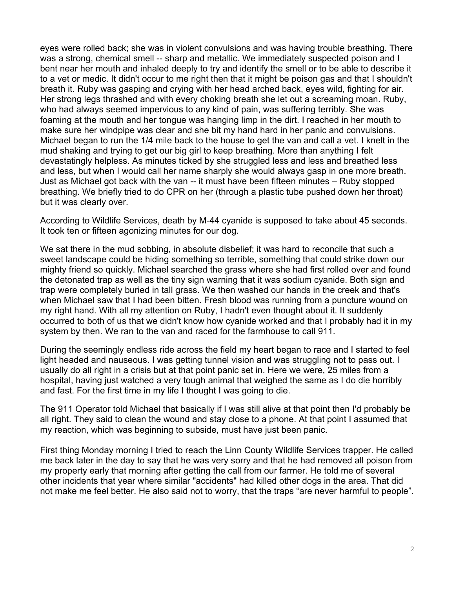eyes were rolled back; she was in violent convulsions and was having trouble breathing. There was a strong, chemical smell -- sharp and metallic. We immediately suspected poison and I bent near her mouth and inhaled deeply to try and identify the smell or to be able to describe it to a vet or medic. It didn't occur to me right then that it might be poison gas and that I shouldn't breath it. Ruby was gasping and crying with her head arched back, eyes wild, fighting for air. Her strong legs thrashed and with every choking breath she let out a screaming moan. Ruby, who had always seemed impervious to any kind of pain, was suffering terribly. She was foaming at the mouth and her tongue was hanging limp in the dirt. I reached in her mouth to make sure her windpipe was clear and she bit my hand hard in her panic and convulsions. Michael began to run the 1/4 mile back to the house to get the van and call a vet. I knelt in the mud shaking and trying to get our big girl to keep breathing. More than anything I felt devastatingly helpless. As minutes ticked by she struggled less and less and breathed less and less, but when I would call her name sharply she would always gasp in one more breath. Just as Michael got back with the van -- it must have been fifteen minutes – Ruby stopped breathing. We briefly tried to do CPR on her (through a plastic tube pushed down her throat) but it was clearly over.

According to Wildlife Services, death by M-44 cyanide is supposed to take about 45 seconds. It took ten or fifteen agonizing minutes for our dog.

We sat there in the mud sobbing, in absolute disbelief; it was hard to reconcile that such a sweet landscape could be hiding something so terrible, something that could strike down our mighty friend so quickly. Michael searched the grass where she had first rolled over and found the detonated trap as well as the tiny sign warning that it was sodium cyanide. Both sign and trap were completely buried in tall grass. We then washed our hands in the creek and that's when Michael saw that I had been bitten. Fresh blood was running from a puncture wound on my right hand. With all my attention on Ruby, I hadn't even thought about it. It suddenly occurred to both of us that we didn't know how cyanide worked and that I probably had it in my system by then. We ran to the van and raced for the farmhouse to call 911.

During the seemingly endless ride across the field my heart began to race and I started to feel light headed and nauseous. I was getting tunnel vision and was struggling not to pass out. I usually do all right in a crisis but at that point panic set in. Here we were, 25 miles from a hospital, having just watched a very tough animal that weighed the same as I do die horribly and fast. For the first time in my life I thought I was going to die.

The 911 Operator told Michael that basically if I was still alive at that point then I'd probably be all right. They said to clean the wound and stay close to a phone. At that point I assumed that my reaction, which was beginning to subside, must have just been panic.

First thing Monday morning I tried to reach the Linn County Wildlife Services trapper. He called me back later in the day to say that he was very sorry and that he had removed all poison from my property early that morning after getting the call from our farmer. He told me of several other incidents that year where similar "accidents" had killed other dogs in the area. That did not make me feel better. He also said not to worry, that the traps "are never harmful to people".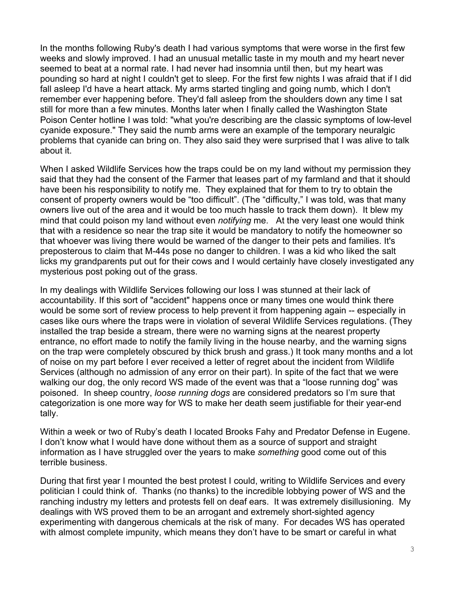In the months following Ruby's death I had various symptoms that were worse in the first few weeks and slowly improved. I had an unusual metallic taste in my mouth and my heart never seemed to beat at a normal rate. I had never had insomnia until then, but my heart was pounding so hard at night I couldn't get to sleep. For the first few nights I was afraid that if I did fall asleep I'd have a heart attack. My arms started tingling and going numb, which I don't remember ever happening before. They'd fall asleep from the shoulders down any time I sat still for more than a few minutes. Months later when I finally called the Washington State Poison Center hotline I was told: "what you're describing are the classic symptoms of low-level cyanide exposure." They said the numb arms were an example of the temporary neuralgic problems that cyanide can bring on. They also said they were surprised that I was alive to talk about it.

When I asked Wildlife Services how the traps could be on my land without my permission they said that they had the consent of the Farmer that leases part of my farmland and that it should have been his responsibility to notify me. They explained that for them to try to obtain the consent of property owners would be "too difficult". (The "difficulty," I was told, was that many owners live out of the area and it would be too much hassle to track them down). It blew my mind that could poison my land without even *notifying* me. At the very least one would think that with a residence so near the trap site it would be mandatory to notify the homeowner so that whoever was living there would be warned of the danger to their pets and families. It's preposterous to claim that M-44s pose no danger to children. I was a kid who liked the salt licks my grandparents put out for their cows and I would certainly have closely investigated any mysterious post poking out of the grass.

In my dealings with Wildlife Services following our loss I was stunned at their lack of accountability. If this sort of "accident" happens once or many times one would think there would be some sort of review process to help prevent it from happening again -- especially in cases like ours where the traps were in violation of several Wildlife Services regulations. (They installed the trap beside a stream, there were no warning signs at the nearest property entrance, no effort made to notify the family living in the house nearby, and the warning signs on the trap were completely obscured by thick brush and grass.) It took many months and a lot of noise on my part before I ever received a letter of regret about the incident from Wildlife Services (although no admission of any error on their part). In spite of the fact that we were walking our dog, the only record WS made of the event was that a "loose running dog" was poisoned. In sheep country, *loose running dogs* are considered predators so I'm sure that categorization is one more way for WS to make her death seem justifiable for their year-end tally.

Within a week or two of Ruby's death I located Brooks Fahy and Predator Defense in Eugene. I don't know what I would have done without them as a source of support and straight information as I have struggled over the years to make *something* good come out of this terrible business.

During that first year I mounted the best protest I could, writing to Wildlife Services and every politician I could think of. Thanks (no thanks) to the incredible lobbying power of WS and the ranching industry my letters and protests fell on deaf ears. It was extremely disillusioning. My dealings with WS proved them to be an arrogant and extremely short-sighted agency experimenting with dangerous chemicals at the risk of many. For decades WS has operated with almost complete impunity, which means they don't have to be smart or careful in what